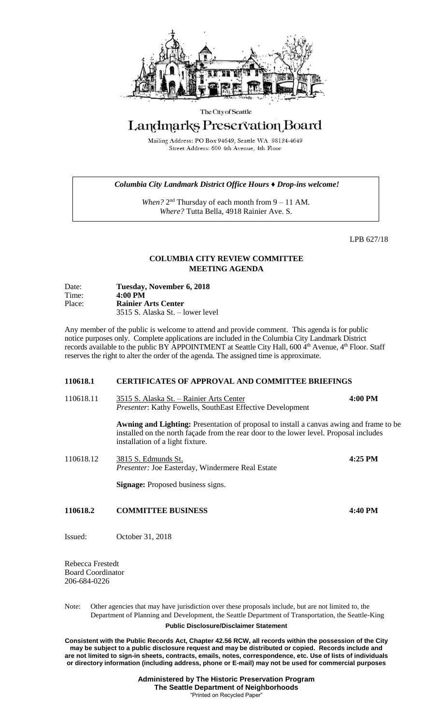

#### The City of Seattle

# Landmarks Preservation Board

Mailing Address: PO Box 94649, Seattle WA 98124-4649 Street Address: 600 4th Avenue, 4th Floor

### *Columbia City Landmark District Office Hours ♦ Drop-ins welcome!*

When? 2<sup>nd</sup> Thursday of each month from 9 – 11 AM. *Where?* Tutta Bella, 4918 Rainier Ave. S.

LPB 627/18

## **COLUMBIA CITY REVIEW COMMITTEE MEETING AGENDA**

| Date:  | Tuesday, November 6, 2018        |
|--------|----------------------------------|
| Time:  | $4:00 \text{ PM}$                |
| Place: | <b>Rainier Arts Center</b>       |
|        | 3515 S. Alaska St. – lower level |

Any member of the public is welcome to attend and provide comment. This agenda is for public notice purposes only. Complete applications are included in the Columbia City Landmark District records available to the public BY APPOINTMENT at Seattle City Hall, 600 4<sup>th</sup> Avenue, 4<sup>th</sup> Floor. Staff reserves the right to alter the order of the agenda. The assigned time is approximate.

#### **110618.1 CERTIFICATES OF APPROVAL AND COMMITTEE BRIEFINGS**

110618.11 3515 S. Alaska St. – Rainier Arts Center **4:00 PM** *Presenter*: Kathy Fowells, SouthEast Effective Development

> **Awning and Lighting:** Presentation of proposal to install a canvas awing and frame to be installed on the north façade from the rear door to the lower level. Proposal includes installation of a light fixture.

110618.12 3815 S. Edmunds St. **4:25 PM** *Presenter:* Joe Easterday, Windermere Real Estate

**Signage:** Proposed business signs.

## **110618.2 COMMITTEE BUSINESS 4:40 PM**

Issued: October 31, 2018

Rebecca Frestedt Board Coordinator 206-684-0226

**Public Disclosure/Disclaimer Statement** Note: Other agencies that may have jurisdiction over these proposals include, but are not limited to, the Department of Planning and Development, the Seattle Department of Transportation, the Seattle-King

**Consistent with the Public Records Act, Chapter 42.56 RCW, all records within the possession of the City may be subject to a public disclosure request and may be distributed or copied. Records include and are not limited to sign-in sheets, contracts, emails, notes, correspondence, etc. Use of lists of individuals or directory information (including address, phone or E-mail) may not be used for commercial purposes**

> **Administered by The Historic Preservation Program The Seattle Department of Neighborhoods** "Printed on Recycled Paper"